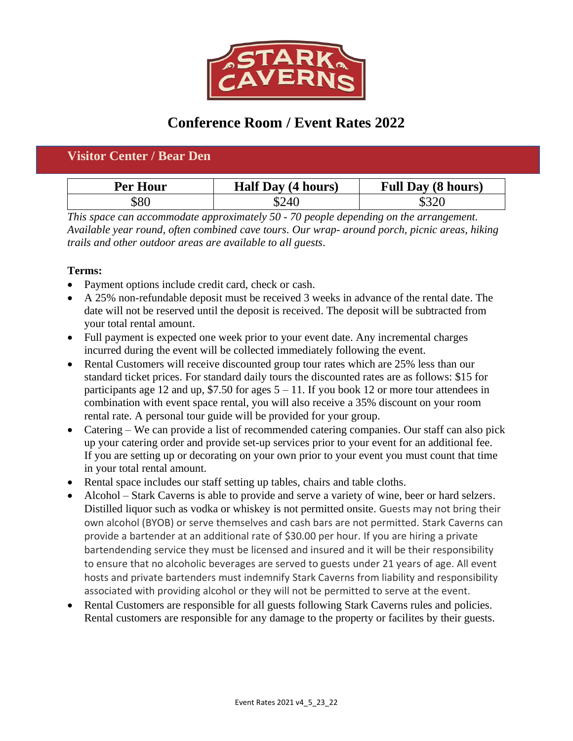

## **Conference Room / Event Rates 2022**

## **Visitor Center / Bear Den**

| <b>Per Hour</b> | <b>Half Day (4 hours)</b> | <b>Full Day (8 hours)</b> |
|-----------------|---------------------------|---------------------------|
| 580             | 524(                      |                           |

*This space can accommodate approximately 50 - 70 people depending on the arrangement. Available year round, often combined cave tours. Our wrap- around porch, picnic areas, hiking trails and other outdoor areas are available to all guests.*

## **Terms:**

- Payment options include credit card, check or cash.
- A 25% non-refundable deposit must be received 3 weeks in advance of the rental date. The date will not be reserved until the deposit is received. The deposit will be subtracted from your total rental amount.
- Full payment is expected one week prior to your event date. Any incremental charges incurred during the event will be collected immediately following the event.
- Rental Customers will receive discounted group tour rates which are 25% less than our standard ticket prices. For standard daily tours the discounted rates are as follows: \$15 for participants age 12 and up, \$7.50 for ages  $5 - 11$ . If you book 12 or more tour attendees in combination with event space rental, you will also receive a 35% discount on your room rental rate. A personal tour guide will be provided for your group.
- Catering We can provide a list of recommended catering companies. Our staff can also pick up your catering order and provide set-up services prior to your event for an additional fee. If you are setting up or decorating on your own prior to your event you must count that time in your total rental amount.
- Rental space includes our staff setting up tables, chairs and table cloths.
- Alcohol Stark Caverns is able to provide and serve a variety of wine, beer or hard selzers. Distilled liquor such as vodka or whiskey is not permitted onsite. Guests may not bring their own alcohol (BYOB) or serve themselves and cash bars are not permitted. Stark Caverns can provide a bartender at an additional rate of \$30.00 per hour. If you are hiring a private bartendending service they must be licensed and insured and it will be their responsibility to ensure that no alcoholic beverages are served to guests under 21 years of age. All event hosts and private bartenders must indemnify Stark Caverns from liability and responsibility associated with providing alcohol or they will not be permitted to serve at the event.
- Rental Customers are responsible for all guests following Stark Caverns rules and policies. Rental customers are responsible for any damage to the property or facilites by their guests.